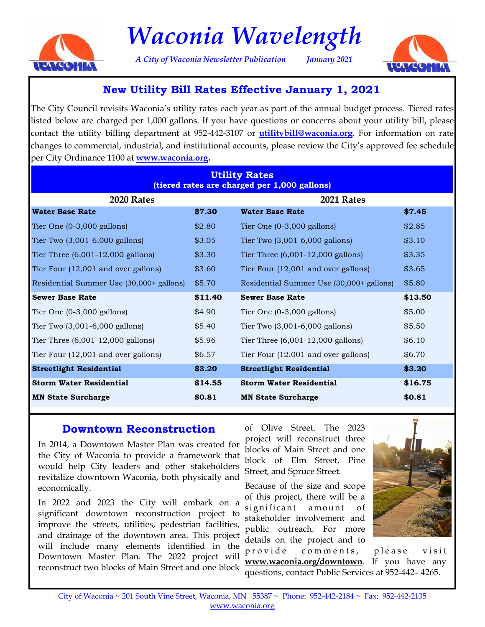

# *Waconia Wavelength*

*A City of Waconia Newsletter Publication January 2021* 



### **New Utility Bill Rates Effective January 1, 2021**

The City Council revisits Waconia's utility rates each year as part of the annual budget process. Tiered rates listed below are charged per 1,000 gallons. If you have questions or concerns about your utility bill, please contact the utility billing department at 952-442-3107 or **utilitybill@waconia.org**. For information on rate changes to commercial, industrial, and institutional accounts, please review the City's approved fee schedule per City Ordinance 1100 at **www.waconia.org.**

| <b>Utility Rates</b><br>(tiered rates are charged per 1,000 gallons) |         |                                          |         |
|----------------------------------------------------------------------|---------|------------------------------------------|---------|
| 2020 Rates                                                           |         | 2021 Rates                               |         |
| <b>Water Base Rate</b>                                               | \$7.30  | <b>Water Base Rate</b>                   | \$7.45  |
| Tier One $(0-3,000)$ gallons)                                        | \$2.80  | Tier One $(0-3,000)$ gallons)            | \$2.85  |
| Tier Two $(3,001-6,000)$ gallons)                                    | \$3.05  | Tier Two $(3,001-6,000)$ gallons)        | \$3.10  |
| Tier Three $(6,001-12,000$ gallons)                                  | \$3.30  | Tier Three $(6,001-12,000$ gallons)      | \$3.35  |
| Tier Four (12,001 and over gallons)                                  | \$3.60  | Tier Four (12,001 and over gallons)      | \$3.65  |
| Residential Summer Use (30,000+ gallons)                             | \$5.70  | Residential Summer Use (30,000+ gallons) | \$5.80  |
| <b>Sewer Base Rate</b>                                               | \$11.40 | <b>Sewer Base Rate</b>                   | \$13.50 |
| Tier One $(0-3,000)$ gallons)                                        | \$4.90  | Tier One $(0-3,000 \text{ gallons})$     | \$5.00  |
| Tier Two (3,001-6,000 gallons)                                       | \$5.40  | Tier Two $(3,001-6,000)$ gallons)        | \$5.50  |
| Tier Three $(6,001-12,000$ gallons)                                  | \$5.96  | Tier Three $(6,001-12,000$ gallons)      | \$6.10  |
| Tier Four (12,001 and over gallons)                                  | \$6.57  | Tier Four (12,001 and over gallons)      | \$6.70  |
| <b>Streetlight Residential</b>                                       | \$3.20  | <b>Streetlight Residential</b>           | \$3.20  |
| <b>Storm Water Residential</b>                                       | \$14.55 | <b>Storm Water Residential</b>           | \$16.75 |
| <b>MN State Surcharge</b>                                            | \$0.81  | <b>MN State Surcharge</b>                | \$0.81  |

### **Downtown Reconstruction**

In 2014, a Downtown Master Plan was created for the City of Waconia to provide a framework that would help City leaders and other stakeholders revitalize downtown Waconia, both physically and economically.

In 2022 and 2023 the City will embark on a significant downtown reconstruction project to improve the streets, utilities, pedestrian facilities, and drainage of the downtown area. This project will include many elements identified in the Downtown Master Plan. The 2022 project will reconstruct two blocks of Main Street and one block

of Olive Street. The 2023 project will reconstruct three blocks of Main Street and one block of Elm Street, Pine Street, and Spruce Street.

Because of the size and scope of this project, there will be a significant amount of stakeholder involvement and public outreach. For more details on the project and to



provide comments, please visit **www.waconia.org/downtown**. If you have any questions, contact Public Services at 952-442– 4265.